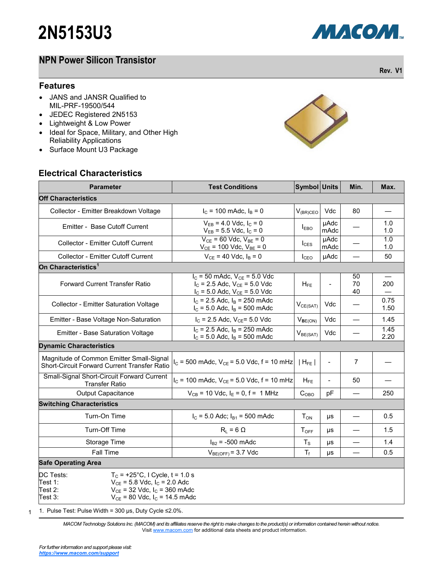## **NPN Power Silicon Transistor**

#### **Features**

- JANS and JANSR Qualified to MIL-PRF-19500/544
- JEDEC Registered 2N5153
- Lightweight & Low Power
- Ideal for Space, Military, and Other High Reliability Applications
- Surface Mount U3 Package

## **Electrical Characteristics**

| <b>Parameter</b>                                                                                                                                                                                      | <b>Test Conditions</b>                                                 | Symbol Units           |                          | Min.           | Max.         |  |  |  |
|-------------------------------------------------------------------------------------------------------------------------------------------------------------------------------------------------------|------------------------------------------------------------------------|------------------------|--------------------------|----------------|--------------|--|--|--|
| <b>Off Characteristics</b>                                                                                                                                                                            |                                                                        |                        |                          |                |              |  |  |  |
| Collector - Emitter Breakdown Voltage                                                                                                                                                                 | $I_c$ = 100 mAdc, $I_B$ = 0                                            |                        | Vdc                      | 80             |              |  |  |  |
| Emitter - Base Cutoff Current                                                                                                                                                                         | $V_{EB} = 4.0$ Vdc, $I_C = 0$<br>$V_{EB} = 5.5$ Vdc, $I_C = 0$         | <b>IEBO</b>            | µAdc<br>mAdc             |                | 1.0<br>1.0   |  |  |  |
| <b>Collector - Emitter Cutoff Current</b>                                                                                                                                                             | $V_{CE}$ = 60 Vdc, $V_{BE}$ = 0<br>$V_{CE}$ = 100 Vdc, $V_{BE}$ = 0    |                        | <b>µAdc</b><br>mAdc      |                | 1.0<br>1.0   |  |  |  |
| Collector - Emitter Cutoff Current                                                                                                                                                                    | $V_{CE}$ = 40 Vdc, $I_B$ = 0                                           | I <sub>CEO</sub>       | <b>µAdc</b>              |                | 50           |  |  |  |
| On Characteristics <sup>1</sup>                                                                                                                                                                       |                                                                        |                        |                          |                |              |  |  |  |
| $I_C$ = 50 mAdc, $V_{CE}$ = 5.0 Vdc<br><b>Forward Current Transfer Ratio</b><br>$I_C$ = 2.5 Adc, $V_{CE}$ = 5.0 Vdc<br>$I_C = 5.0$ Adc, $V_{CE} = 5.0$ Vdc                                            |                                                                        | $H_{FE}$               |                          | 50<br>70<br>40 | 200          |  |  |  |
| <b>Collector - Emitter Saturation Voltage</b>                                                                                                                                                         | $I_C$ = 2.5 Adc, $I_B$ = 250 mAdc<br>$I_C$ = 5.0 Adc, $I_B$ = 500 mAdc | $V_{CE(SAT)}$          | Vdc                      |                | 0.75<br>1.50 |  |  |  |
| Emitter - Base Voltage Non-Saturation                                                                                                                                                                 | $I_C$ = 2.5 Adc, $V_{CE}$ = 5.0 Vdc                                    | $V_{BE(ON)}$           | Vdc                      |                | 1.45         |  |  |  |
| <b>Emitter - Base Saturation Voltage</b>                                                                                                                                                              | $I_C$ = 2.5 Adc, $I_B$ = 250 mAdc<br>$I_C$ = 5.0 Adc, $I_B$ = 500 mAdc | V <sub>BE(SAT)</sub>   | Vdc                      |                | 1.45<br>2.20 |  |  |  |
| <b>Dynamic Characteristics</b>                                                                                                                                                                        |                                                                        |                        |                          |                |              |  |  |  |
| Magnitude of Common Emitter Small-Signal<br>Short-Circuit Forward Current Transfer Ratio                                                                                                              | $I_c$ = 500 mAdc, $V_{CE}$ = 5.0 Vdc, f = 10 mHz                       | $ H_{FE} $             | $\overline{\phantom{a}}$ | $\overline{7}$ |              |  |  |  |
| Small-Signal Short-Circuit Forward Current<br><b>Transfer Ratio</b>                                                                                                                                   | $I_C$ = 100 mAdc, $V_{CE}$ = 5.0 Vdc, f = 10 mHz                       | $H_{FE}$               |                          | 50             |              |  |  |  |
| <b>Output Capacitance</b>                                                                                                                                                                             | $V_{CB}$ = 10 Vdc, $I_E$ = 0, f = 1 MHz                                | C <sub>OBO</sub>       | pF                       |                | 250          |  |  |  |
| <b>Switching Characteristics</b>                                                                                                                                                                      |                                                                        |                        |                          |                |              |  |  |  |
| Turn-On Time                                                                                                                                                                                          | $I_C$ = 5.0 Adc; $I_{B1}$ = 500 mAdc                                   | <b>T</b> <sub>ON</sub> | μs                       |                | 0.5          |  |  |  |
| Turn-Off Time                                                                                                                                                                                         | $R_L = 6 \Omega$                                                       | $T_{OFF}$              | μs                       |                | 1.5          |  |  |  |
| Storage Time                                                                                                                                                                                          | $I_{B2}$ = -500 mAdc                                                   | $T_S$                  | μs                       |                | 1.4          |  |  |  |
| Fall Time                                                                                                                                                                                             | $V_{BE(OFF)} = 3.7$ Vdc                                                | $T_f$                  | μs                       |                | 0.5          |  |  |  |
| <b>Safe Operating Area</b>                                                                                                                                                                            |                                                                        |                        |                          |                |              |  |  |  |
| DC Tests:<br>$T_c$ = +25°C, I Cycle, t = 1.0 s<br>Test 1:<br>$V_{CE}$ = 5.8 Vdc, $I_C$ = 2.0 Adc<br>$V_{CE}$ = 32 Vdc, $I_C$ = 360 mAdc<br>Test 2:<br>Test 3:<br>$V_{CE}$ = 80 Vdc, $I_C$ = 14.5 mAdc |                                                                        |                        |                          |                |              |  |  |  |

1 1. Pulse Test: Pulse Width = 300 μs, Duty Cycle ≤2.0%.

> *MACOM Technology Solutions Inc. (MACOM) and its affiliates reserve the right to make changes to the product(s) or information contained herein without notice.*  Visit [www.macom.com](http://www.macom.com/) for additional data sheets and product information.

 $\rightarrow$ 



**Rev. V1**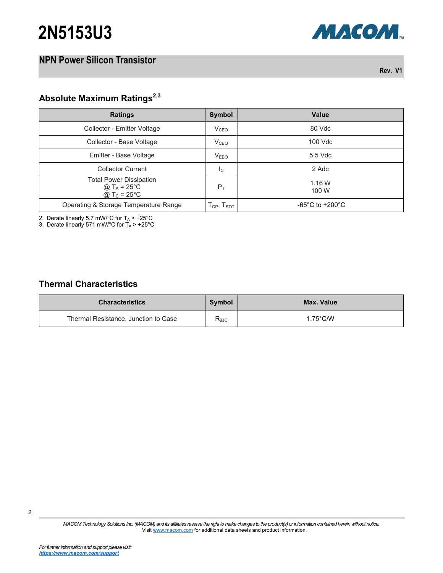# **2N5153U3**

### **NPN Power Silicon Transistor**

**Rev. V1**

**МАСОМ** 

## **Absolute Maximum Ratings2,3**

| <b>Ratings</b>                                                                                              | Symbol              | Value                                 |
|-------------------------------------------------------------------------------------------------------------|---------------------|---------------------------------------|
| Collector - Emitter Voltage                                                                                 | V <sub>CEO</sub>    | 80 Vdc                                |
| Collector - Base Voltage                                                                                    | V <sub>CBO</sub>    | 100 Vdc                               |
| Emitter - Base Voltage                                                                                      | V <sub>EBO</sub>    | 5.5 Vdc                               |
| <b>Collector Current</b>                                                                                    | Ιc                  | 2 Adc                                 |
| <b>Total Power Dissipation</b><br>@ T <sub>A</sub> = 25 <sup>°</sup> C<br>@ T <sub>c</sub> = $25^{\circ}$ C | $P_T$               | 1.16W<br>100 W                        |
| Operating & Storage Temperature Range                                                                       | Тор, Т $_{\rm STG}$ | -65 $^{\circ}$ C to +200 $^{\circ}$ C |

2. Derate linearly 5.7 mW/°C for  $T_A$  > +25°C

3. Derate linearly 571 mW/°C for  $T_A$  > +25°C

#### **Thermal Characteristics**

| <b>Characteristics</b>               | Symbol          | Max. Value         |
|--------------------------------------|-----------------|--------------------|
| Thermal Resistance, Junction to Case | $R_{\theta JC}$ | $1.75^{\circ}$ C/W |

*MACOM Technology Solutions Inc. (MACOM) and its affiliates reserve the right to make changes to the product(s) or information contained herein without notice.*  Visit [www.macom.com](http://www.macom.com/) for additional data sheets and product information.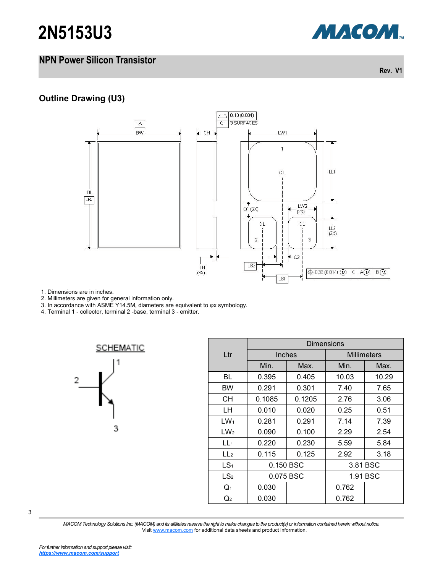# **2N5153U3**

## **NPN Power Silicon Transistor**

**Outline Drawing (U3)**



1. Dimensions are in inches.

2. Millimeters are given for general information only.

3. In accordance with ASME Y14.5M, diameters are equivalent to φx symbology.

4. Terminal 1 - collector, terminal 2 -base, terminal 3 - emitter.



|                 | Dimensions    |        |                    |       |  |  |
|-----------------|---------------|--------|--------------------|-------|--|--|
| $L$ tr          | <b>Inches</b> |        | <b>Millimeters</b> |       |  |  |
|                 | Min.          | Max.   | Min.               | Max.  |  |  |
| BL              | 0.395         | 0.405  | 10.03              | 10.29 |  |  |
| <b>BW</b>       | 0.291         | 0.301  | 7.40               | 7.65  |  |  |
| CН              | 0.1085        | 0.1205 | 2.76               | 3.06  |  |  |
| LH              | 0.010         | 0.020  | 0.25               | 0.51  |  |  |
| $LW_1$          | 0.281         | 0.291  | 7.14               | 7.39  |  |  |
| LW <sub>2</sub> | 0.090         | 0.100  | 2.29               | 2.54  |  |  |
| LL <sub>1</sub> | 0.220         | 0.230  | 5.59               | 5.84  |  |  |
| LL <sub>2</sub> | 0.115         | 0.125  | 2.92               | 3.18  |  |  |
| LS <sub>1</sub> | 0.150 BSC     |        | 3.81 BSC           |       |  |  |
| LS <sub>2</sub> | 0.075 BSC     |        | 1.91 BSC           |       |  |  |
| $Q_1$           | 0.030         |        | 0.762              |       |  |  |
| Q2              | 0.030         |        | 0.762              |       |  |  |

3

*MACOM Technology Solutions Inc. (MACOM) and its affiliates reserve the right to make changes to the product(s) or information contained herein without notice.*  Visit [www.macom.com](http://www.macom.com/) for additional data sheets and product information.



**Rev. V1**